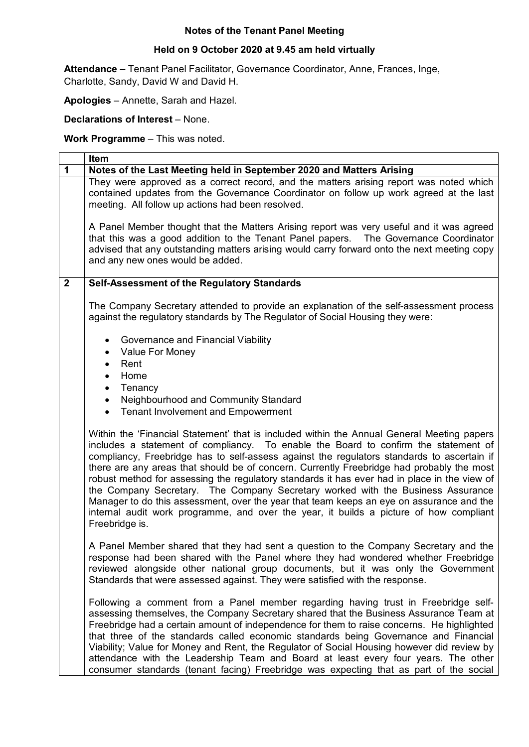## **Notes of the Tenant Panel Meeting**

## **Held on 9 October 2020 at 9.45 am held virtually**

**Attendance –** Tenant Panel Facilitator, Governance Coordinator, Anne, Frances, Inge, Charlotte, Sandy, David W and David H.

**Apologies** – Annette, Sarah and Hazel.

**Declarations of Interest** – None.

**Work Programme** – This was noted.

|              | Item                                                                                                                                                                                                                                                                                                                                                                                                                                                                                                                                                                                                                                                                                                                                                                    |  |  |  |  |  |  |  |  |
|--------------|-------------------------------------------------------------------------------------------------------------------------------------------------------------------------------------------------------------------------------------------------------------------------------------------------------------------------------------------------------------------------------------------------------------------------------------------------------------------------------------------------------------------------------------------------------------------------------------------------------------------------------------------------------------------------------------------------------------------------------------------------------------------------|--|--|--|--|--|--|--|--|
| 1            | Notes of the Last Meeting held in September 2020 and Matters Arising                                                                                                                                                                                                                                                                                                                                                                                                                                                                                                                                                                                                                                                                                                    |  |  |  |  |  |  |  |  |
|              | They were approved as a correct record, and the matters arising report was noted which<br>contained updates from the Governance Coordinator on follow up work agreed at the last<br>meeting. All follow up actions had been resolved.                                                                                                                                                                                                                                                                                                                                                                                                                                                                                                                                   |  |  |  |  |  |  |  |  |
|              | A Panel Member thought that the Matters Arising report was very useful and it was agreed<br>that this was a good addition to the Tenant Panel papers. The Governance Coordinator<br>advised that any outstanding matters arising would carry forward onto the next meeting copy<br>and any new ones would be added.                                                                                                                                                                                                                                                                                                                                                                                                                                                     |  |  |  |  |  |  |  |  |
| $\mathbf{2}$ | Self-Assessment of the Regulatory Standards                                                                                                                                                                                                                                                                                                                                                                                                                                                                                                                                                                                                                                                                                                                             |  |  |  |  |  |  |  |  |
|              | The Company Secretary attended to provide an explanation of the self-assessment process<br>against the regulatory standards by The Regulator of Social Housing they were:                                                                                                                                                                                                                                                                                                                                                                                                                                                                                                                                                                                               |  |  |  |  |  |  |  |  |
|              | Governance and Financial Viability<br>٠<br>Value For Money<br>$\bullet$<br>Rent<br>$\bullet$<br>Home<br>$\bullet$<br>Tenancy<br>$\bullet$<br>Neighbourhood and Community Standard<br>$\bullet$<br><b>Tenant Involvement and Empowerment</b><br>$\bullet$                                                                                                                                                                                                                                                                                                                                                                                                                                                                                                                |  |  |  |  |  |  |  |  |
|              | Within the 'Financial Statement' that is included within the Annual General Meeting papers<br>includes a statement of compliancy. To enable the Board to confirm the statement of<br>compliancy, Freebridge has to self-assess against the regulators standards to ascertain if<br>there are any areas that should be of concern. Currently Freebridge had probably the most<br>robust method for assessing the regulatory standards it has ever had in place in the view of<br>the Company Secretary. The Company Secretary worked with the Business Assurance<br>Manager to do this assessment, over the year that team keeps an eye on assurance and the<br>internal audit work programme, and over the year, it builds a picture of how compliant<br>Freebridge is. |  |  |  |  |  |  |  |  |
|              | A Panel Member shared that they had sent a question to the Company Secretary and the<br>response had been shared with the Panel where they had wondered whether Freebridge<br>reviewed alongside other national group documents, but it was only the Government<br>Standards that were assessed against. They were satisfied with the response.                                                                                                                                                                                                                                                                                                                                                                                                                         |  |  |  |  |  |  |  |  |
|              | Following a comment from a Panel member regarding having trust in Freebridge self-<br>assessing themselves, the Company Secretary shared that the Business Assurance Team at<br>Freebridge had a certain amount of independence for them to raise concerns. He highlighted<br>that three of the standards called economic standards being Governance and Financial<br>Viability; Value for Money and Rent, the Regulator of Social Housing however did review by<br>attendance with the Leadership Team and Board at least every four years. The other<br>consumer standards (tenant facing) Freebridge was expecting that as part of the social                                                                                                                        |  |  |  |  |  |  |  |  |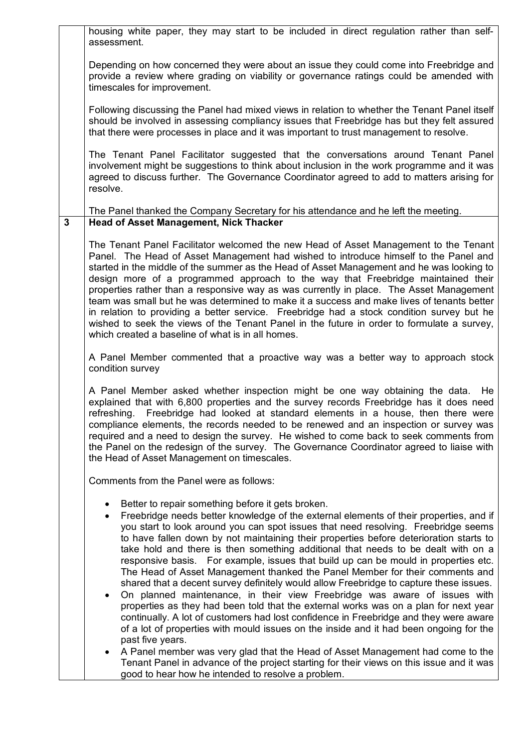|              | housing white paper, they may start to be included in direct regulation rather than self-<br>assessment.                                                                                                                                                                                                                                                                                                                                                                                                                                                                                                                                                                                                                                                                                               |  |  |  |  |  |  |  |  |  |
|--------------|--------------------------------------------------------------------------------------------------------------------------------------------------------------------------------------------------------------------------------------------------------------------------------------------------------------------------------------------------------------------------------------------------------------------------------------------------------------------------------------------------------------------------------------------------------------------------------------------------------------------------------------------------------------------------------------------------------------------------------------------------------------------------------------------------------|--|--|--|--|--|--|--|--|--|
|              | Depending on how concerned they were about an issue they could come into Freebridge and<br>provide a review where grading on viability or governance ratings could be amended with<br>timescales for improvement.                                                                                                                                                                                                                                                                                                                                                                                                                                                                                                                                                                                      |  |  |  |  |  |  |  |  |  |
|              | Following discussing the Panel had mixed views in relation to whether the Tenant Panel itself<br>should be involved in assessing compliancy issues that Freebridge has but they felt assured<br>that there were processes in place and it was important to trust management to resolve.                                                                                                                                                                                                                                                                                                                                                                                                                                                                                                                |  |  |  |  |  |  |  |  |  |
|              | The Tenant Panel Facilitator suggested that the conversations around Tenant Panel<br>involvement might be suggestions to think about inclusion in the work programme and it was<br>agreed to discuss further. The Governance Coordinator agreed to add to matters arising for<br>resolve.                                                                                                                                                                                                                                                                                                                                                                                                                                                                                                              |  |  |  |  |  |  |  |  |  |
| $\mathbf{3}$ | The Panel thanked the Company Secretary for his attendance and he left the meeting.<br><b>Head of Asset Management, Nick Thacker</b>                                                                                                                                                                                                                                                                                                                                                                                                                                                                                                                                                                                                                                                                   |  |  |  |  |  |  |  |  |  |
|              | The Tenant Panel Facilitator welcomed the new Head of Asset Management to the Tenant<br>Panel. The Head of Asset Management had wished to introduce himself to the Panel and<br>started in the middle of the summer as the Head of Asset Management and he was looking to<br>design more of a programmed approach to the way that Freebridge maintained their<br>properties rather than a responsive way as was currently in place. The Asset Management<br>team was small but he was determined to make it a success and make lives of tenants better<br>in relation to providing a better service. Freebridge had a stock condition survey but he<br>wished to seek the views of the Tenant Panel in the future in order to formulate a survey,<br>which created a baseline of what is in all homes. |  |  |  |  |  |  |  |  |  |
|              | A Panel Member commented that a proactive way was a better way to approach stock<br>condition survey                                                                                                                                                                                                                                                                                                                                                                                                                                                                                                                                                                                                                                                                                                   |  |  |  |  |  |  |  |  |  |
|              | A Panel Member asked whether inspection might be one way obtaining the data.<br>He<br>explained that with 6,800 properties and the survey records Freebridge has it does need<br>Freebridge had looked at standard elements in a house, then there were<br>refreshing.<br>compliance elements, the records needed to be renewed and an inspection or survey was<br>required and a need to design the survey. He wished to come back to seek comments from<br>the Panel on the redesign of the survey. The Governance Coordinator agreed to liaise with<br>the Head of Asset Management on timescales.                                                                                                                                                                                                  |  |  |  |  |  |  |  |  |  |
|              | Comments from the Panel were as follows:                                                                                                                                                                                                                                                                                                                                                                                                                                                                                                                                                                                                                                                                                                                                                               |  |  |  |  |  |  |  |  |  |
|              | Better to repair something before it gets broken.<br>Freebridge needs better knowledge of the external elements of their properties, and if<br>$\bullet$<br>you start to look around you can spot issues that need resolving. Freebridge seems<br>to have fallen down by not maintaining their properties before deterioration starts to<br>take hold and there is then something additional that needs to be dealt with on a<br>responsive basis. For example, issues that build up can be mould in properties etc.<br>The Head of Asset Management thanked the Panel Member for their comments and                                                                                                                                                                                                   |  |  |  |  |  |  |  |  |  |
|              | shared that a decent survey definitely would allow Freebridge to capture these issues.<br>On planned maintenance, in their view Freebridge was aware of issues with<br>٠<br>properties as they had been told that the external works was on a plan for next year<br>continually. A lot of customers had lost confidence in Freebridge and they were aware<br>of a lot of properties with mould issues on the inside and it had been ongoing for the<br>past five years.                                                                                                                                                                                                                                                                                                                                |  |  |  |  |  |  |  |  |  |
|              | A Panel member was very glad that the Head of Asset Management had come to the<br>٠<br>Tenant Panel in advance of the project starting for their views on this issue and it was<br>good to hear how he intended to resolve a problem.                                                                                                                                                                                                                                                                                                                                                                                                                                                                                                                                                                  |  |  |  |  |  |  |  |  |  |

 $\overline{1}$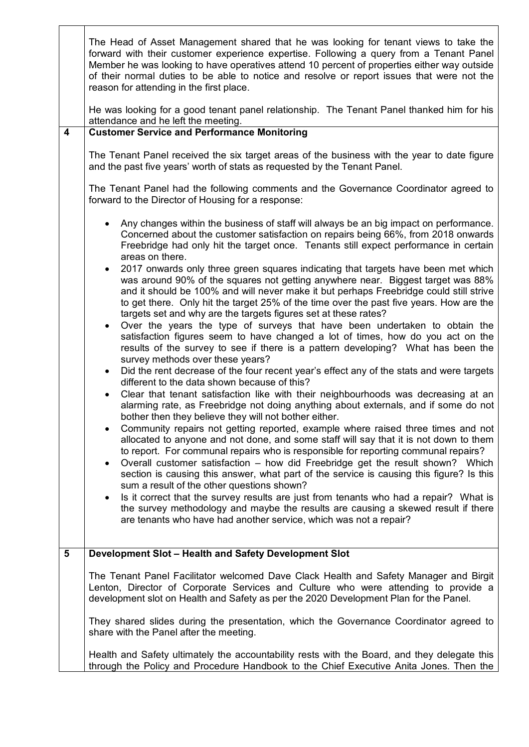|                | The Head of Asset Management shared that he was looking for tenant views to take the<br>forward with their customer experience expertise. Following a query from a Tenant Panel<br>Member he was looking to have operatives attend 10 percent of properties either way outside<br>of their normal duties to be able to notice and resolve or report issues that were not the<br>reason for attending in the first place.                  |  |  |  |  |  |  |  |  |  |
|----------------|-------------------------------------------------------------------------------------------------------------------------------------------------------------------------------------------------------------------------------------------------------------------------------------------------------------------------------------------------------------------------------------------------------------------------------------------|--|--|--|--|--|--|--|--|--|
|                | He was looking for a good tenant panel relationship. The Tenant Panel thanked him for his<br>attendance and he left the meeting.                                                                                                                                                                                                                                                                                                          |  |  |  |  |  |  |  |  |  |
| 4              | <b>Customer Service and Performance Monitoring</b>                                                                                                                                                                                                                                                                                                                                                                                        |  |  |  |  |  |  |  |  |  |
|                | The Tenant Panel received the six target areas of the business with the year to date figure<br>and the past five years' worth of stats as requested by the Tenant Panel.                                                                                                                                                                                                                                                                  |  |  |  |  |  |  |  |  |  |
|                | The Tenant Panel had the following comments and the Governance Coordinator agreed to<br>forward to the Director of Housing for a response:                                                                                                                                                                                                                                                                                                |  |  |  |  |  |  |  |  |  |
|                | Any changes within the business of staff will always be an big impact on performance.<br>$\bullet$<br>Concerned about the customer satisfaction on repairs being 66%, from 2018 onwards<br>Freebridge had only hit the target once. Tenants still expect performance in certain<br>areas on there.                                                                                                                                        |  |  |  |  |  |  |  |  |  |
|                | 2017 onwards only three green squares indicating that targets have been met which<br>$\bullet$<br>was around 90% of the squares not getting anywhere near. Biggest target was 88%<br>and it should be 100% and will never make it but perhaps Freebridge could still strive<br>to get there. Only hit the target 25% of the time over the past five years. How are the<br>targets set and why are the targets figures set at these rates? |  |  |  |  |  |  |  |  |  |
|                | Over the years the type of surveys that have been undertaken to obtain the<br>$\bullet$<br>satisfaction figures seem to have changed a lot of times, how do you act on the<br>results of the survey to see if there is a pattern developing? What has been the<br>survey methods over these years?                                                                                                                                        |  |  |  |  |  |  |  |  |  |
|                | Did the rent decrease of the four recent year's effect any of the stats and were targets<br>$\bullet$<br>different to the data shown because of this?<br>Clear that tenant satisfaction like with their neighbourhoods was decreasing at an<br>$\bullet$                                                                                                                                                                                  |  |  |  |  |  |  |  |  |  |
|                | alarming rate, as Freebridge not doing anything about externals, and if some do not<br>bother then they believe they will not bother either.                                                                                                                                                                                                                                                                                              |  |  |  |  |  |  |  |  |  |
|                | Community repairs not getting reported, example where raised three times and not<br>$\bullet$<br>allocated to anyone and not done, and some staff will say that it is not down to them<br>to report. For communal repairs who is responsible for reporting communal repairs?                                                                                                                                                              |  |  |  |  |  |  |  |  |  |
|                | Overall customer satisfaction – how did Freebridge get the result shown? Which<br>$\bullet$<br>section is causing this answer, what part of the service is causing this figure? Is this<br>sum a result of the other questions shown?                                                                                                                                                                                                     |  |  |  |  |  |  |  |  |  |
|                | Is it correct that the survey results are just from tenants who had a repair? What is<br>$\bullet$<br>the survey methodology and maybe the results are causing a skewed result if there<br>are tenants who have had another service, which was not a repair?                                                                                                                                                                              |  |  |  |  |  |  |  |  |  |
| $5\phantom{1}$ | Development Slot - Health and Safety Development Slot                                                                                                                                                                                                                                                                                                                                                                                     |  |  |  |  |  |  |  |  |  |
|                | The Tenant Panel Facilitator welcomed Dave Clack Health and Safety Manager and Birgit<br>Lenton, Director of Corporate Services and Culture who were attending to provide a<br>development slot on Health and Safety as per the 2020 Development Plan for the Panel.                                                                                                                                                                      |  |  |  |  |  |  |  |  |  |
|                | They shared slides during the presentation, which the Governance Coordinator agreed to<br>share with the Panel after the meeting.                                                                                                                                                                                                                                                                                                         |  |  |  |  |  |  |  |  |  |
|                | Health and Safety ultimately the accountability rests with the Board, and they delegate this<br>through the Policy and Procedure Handbook to the Chief Executive Anita Jones. Then the                                                                                                                                                                                                                                                    |  |  |  |  |  |  |  |  |  |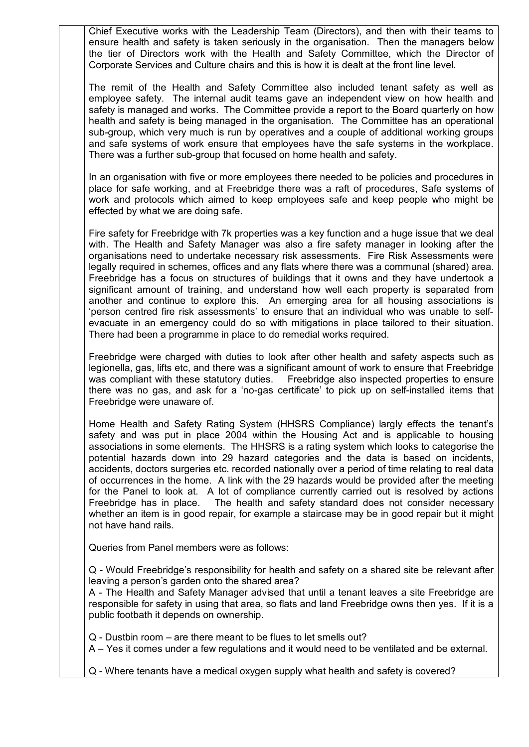Chief Executive works with the Leadership Team (Directors), and then with their teams to ensure health and safety is taken seriously in the organisation. Then the managers below the tier of Directors work with the Health and Safety Committee, which the Director of Corporate Services and Culture chairs and this is how it is dealt at the front line level.

The remit of the Health and Safety Committee also included tenant safety as well as employee safety. The internal audit teams gave an independent view on how health and safety is managed and works. The Committee provide a report to the Board quarterly on how health and safety is being managed in the organisation. The Committee has an operational sub-group, which very much is run by operatives and a couple of additional working groups and safe systems of work ensure that employees have the safe systems in the workplace. There was a further sub-group that focused on home health and safety.

In an organisation with five or more employees there needed to be policies and procedures in place for safe working, and at Freebridge there was a raft of procedures, Safe systems of work and protocols which aimed to keep employees safe and keep people who might be effected by what we are doing safe.

Fire safety for Freebridge with 7k properties was a key function and a huge issue that we deal with. The Health and Safety Manager was also a fire safety manager in looking after the organisations need to undertake necessary risk assessments. Fire Risk Assessments were legally required in schemes, offices and any flats where there was a communal (shared) area. Freebridge has a focus on structures of buildings that it owns and they have undertook a significant amount of training, and understand how well each property is separated from another and continue to explore this. An emerging area for all housing associations is 'person centred fire risk assessments' to ensure that an individual who was unable to selfevacuate in an emergency could do so with mitigations in place tailored to their situation. There had been a programme in place to do remedial works required.

Freebridge were charged with duties to look after other health and safety aspects such as legionella, gas, lifts etc, and there was a significant amount of work to ensure that Freebridge was compliant with these statutory duties. Freebridge also inspected properties to ensure there was no gas, and ask for a 'no-gas certificate' to pick up on self-installed items that Freebridge were unaware of.

Home Health and Safety Rating System (HHSRS Compliance) largly effects the tenant's safety and was put in place 2004 within the Housing Act and is applicable to housing associations in some elements. The HHSRS is a rating system which looks to categorise the potential hazards down into 29 hazard categories and the data is based on incidents, accidents, doctors surgeries etc. recorded nationally over a period of time relating to real data of occurrences in the home. A link with the 29 hazards would be provided after the meeting for the Panel to look at. A lot of compliance currently carried out is resolved by actions Freebridge has in place. The health and safety standard does not consider necessary whether an item is in good repair, for example a staircase may be in good repair but it might not have hand rails.

Queries from Panel members were as follows:

Q - Would Freebridge's responsibility for health and safety on a shared site be relevant after leaving a person's garden onto the shared area?

A - The Health and Safety Manager advised that until a tenant leaves a site Freebridge are responsible for safety in using that area, so flats and land Freebridge owns then yes. If it is a public footbath it depends on ownership.

Q - Dustbin room – are there meant to be flues to let smells out?

A – Yes it comes under a few regulations and it would need to be ventilated and be external.

Q - Where tenants have a medical oxygen supply what health and safety is covered?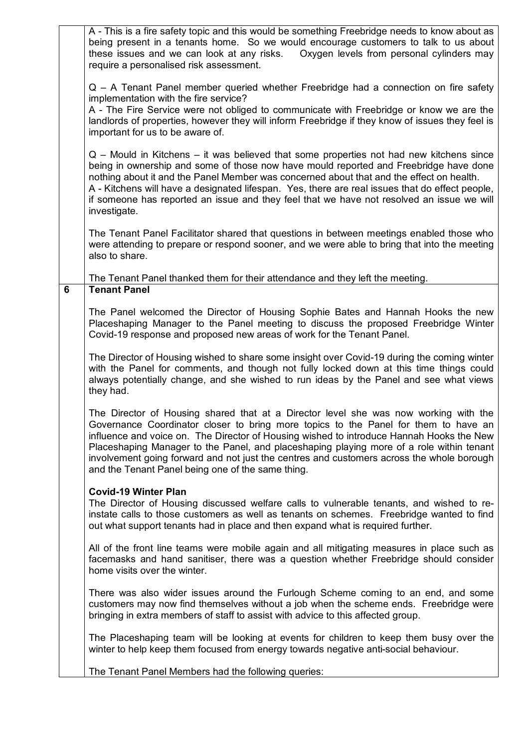|   | A - This is a fire safety topic and this would be something Freebridge needs to know about as<br>being present in a tenants home. So we would encourage customers to talk to us about<br>these issues and we can look at any risks.<br>Oxygen levels from personal cylinders may<br>require a personalised risk assessment.                                                                                                                                                                                           |
|---|-----------------------------------------------------------------------------------------------------------------------------------------------------------------------------------------------------------------------------------------------------------------------------------------------------------------------------------------------------------------------------------------------------------------------------------------------------------------------------------------------------------------------|
|   | Q – A Tenant Panel member queried whether Freebridge had a connection on fire safety<br>implementation with the fire service?<br>A - The Fire Service were not obliged to communicate with Freebridge or know we are the<br>landlords of properties, however they will inform Freebridge if they know of issues they feel is<br>important for us to be aware of.                                                                                                                                                      |
|   | Q – Mould in Kitchens – it was believed that some properties not had new kitchens since<br>being in ownership and some of those now have mould reported and Freebridge have done<br>nothing about it and the Panel Member was concerned about that and the effect on health.<br>A - Kitchens will have a designated lifespan. Yes, there are real issues that do effect people,<br>if someone has reported an issue and they feel that we have not resolved an issue we will<br>investigate.                          |
|   | The Tenant Panel Facilitator shared that questions in between meetings enabled those who<br>were attending to prepare or respond sooner, and we were able to bring that into the meeting<br>also to share.                                                                                                                                                                                                                                                                                                            |
| 6 | The Tenant Panel thanked them for their attendance and they left the meeting.<br><b>Tenant Panel</b>                                                                                                                                                                                                                                                                                                                                                                                                                  |
|   | The Panel welcomed the Director of Housing Sophie Bates and Hannah Hooks the new<br>Placeshaping Manager to the Panel meeting to discuss the proposed Freebridge Winter<br>Covid-19 response and proposed new areas of work for the Tenant Panel.                                                                                                                                                                                                                                                                     |
|   | The Director of Housing wished to share some insight over Covid-19 during the coming winter<br>with the Panel for comments, and though not fully locked down at this time things could<br>always potentially change, and she wished to run ideas by the Panel and see what views<br>they had.                                                                                                                                                                                                                         |
|   | The Director of Housing shared that at a Director level she was now working with the<br>Governance Coordinator closer to bring more topics to the Panel for them to have an<br>influence and voice on. The Director of Housing wished to introduce Hannah Hooks the New<br>Placeshaping Manager to the Panel, and placeshaping playing more of a role within tenant<br>involvement going forward and not just the centres and customers across the whole borough<br>and the Tenant Panel being one of the same thing. |
|   | <b>Covid-19 Winter Plan</b><br>The Director of Housing discussed welfare calls to vulnerable tenants, and wished to re-<br>instate calls to those customers as well as tenants on schemes. Freebridge wanted to find<br>out what support tenants had in place and then expand what is required further.                                                                                                                                                                                                               |
|   | All of the front line teams were mobile again and all mitigating measures in place such as<br>facemasks and hand sanitiser, there was a question whether Freebridge should consider<br>home visits over the winter.                                                                                                                                                                                                                                                                                                   |
|   | There was also wider issues around the Furlough Scheme coming to an end, and some<br>customers may now find themselves without a job when the scheme ends. Freebridge were<br>bringing in extra members of staff to assist with advice to this affected group.                                                                                                                                                                                                                                                        |
|   | The Placeshaping team will be looking at events for children to keep them busy over the<br>winter to help keep them focused from energy towards negative anti-social behaviour.                                                                                                                                                                                                                                                                                                                                       |
|   | The Tenant Panel Members had the following queries:                                                                                                                                                                                                                                                                                                                                                                                                                                                                   |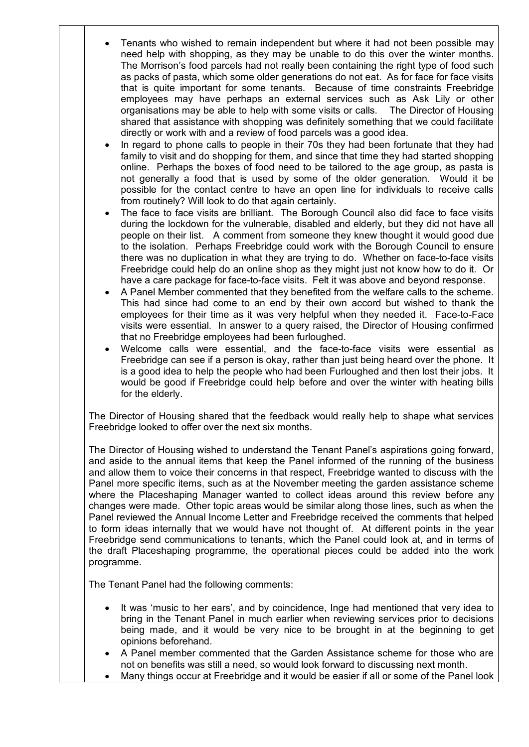- Tenants who wished to remain independent but where it had not been possible may need help with shopping, as they may be unable to do this over the winter months. The Morrison's food parcels had not really been containing the right type of food such as packs of pasta, which some older generations do not eat. As for face for face visits that is quite important for some tenants. Because of time constraints Freebridge employees may have perhaps an external services such as Ask Lily or other organisations may be able to help with some visits or calls. The Director of Housing shared that assistance with shopping was definitely something that we could facilitate directly or work with and a review of food parcels was a good idea.
- In regard to phone calls to people in their 70s they had been fortunate that they had family to visit and do shopping for them, and since that time they had started shopping online. Perhaps the boxes of food need to be tailored to the age group, as pasta is not generally a food that is used by some of the older generation. Would it be possible for the contact centre to have an open line for individuals to receive calls from routinely? Will look to do that again certainly.
- The face to face visits are brilliant. The Borough Council also did face to face visits during the lockdown for the vulnerable, disabled and elderly, but they did not have all people on their list. A comment from someone they knew thought it would good due to the isolation. Perhaps Freebridge could work with the Borough Council to ensure there was no duplication in what they are trying to do. Whether on face-to-face visits Freebridge could help do an online shop as they might just not know how to do it. Or have a care package for face-to-face visits. Felt it was above and beyond response.
- A Panel Member commented that they benefited from the welfare calls to the scheme. This had since had come to an end by their own accord but wished to thank the employees for their time as it was very helpful when they needed it. Face-to-Face visits were essential. In answer to a query raised, the Director of Housing confirmed that no Freebridge employees had been furloughed.
- Welcome calls were essential, and the face-to-face visits were essential as Freebridge can see if a person is okay, rather than just being heard over the phone. It is a good idea to help the people who had been Furloughed and then lost their jobs. It would be good if Freebridge could help before and over the winter with heating bills for the elderly.

The Director of Housing shared that the feedback would really help to shape what services Freebridge looked to offer over the next six months.

The Director of Housing wished to understand the Tenant Panel's aspirations going forward, and aside to the annual items that keep the Panel informed of the running of the business and allow them to voice their concerns in that respect, Freebridge wanted to discuss with the Panel more specific items, such as at the November meeting the garden assistance scheme where the Placeshaping Manager wanted to collect ideas around this review before any changes were made. Other topic areas would be similar along those lines, such as when the Panel reviewed the Annual Income Letter and Freebridge received the comments that helped to form ideas internally that we would have not thought of. At different points in the year Freebridge send communications to tenants, which the Panel could look at, and in terms of the draft Placeshaping programme, the operational pieces could be added into the work programme.

The Tenant Panel had the following comments:

- It was 'music to her ears', and by coincidence, Inge had mentioned that very idea to bring in the Tenant Panel in much earlier when reviewing services prior to decisions being made, and it would be very nice to be brought in at the beginning to get opinions beforehand.
- A Panel member commented that the Garden Assistance scheme for those who are not on benefits was still a need, so would look forward to discussing next month.
- Many things occur at Freebridge and it would be easier if all or some of the Panel look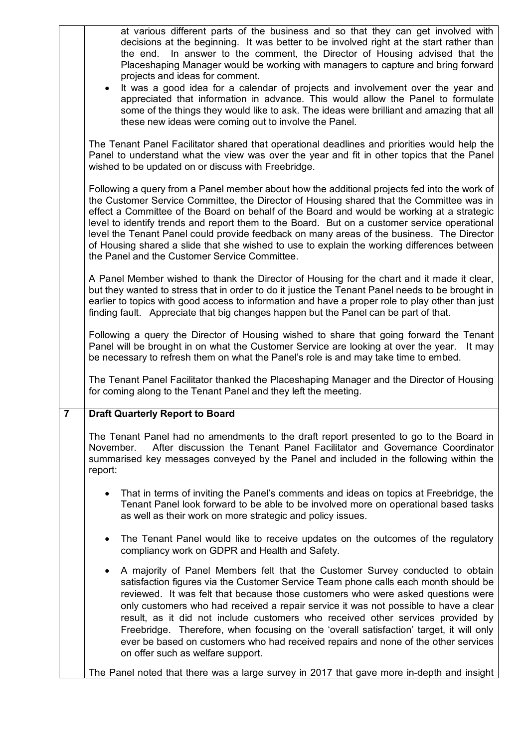|                | at various different parts of the business and so that they can get involved with<br>decisions at the beginning. It was better to be involved right at the start rather than<br>the end. In answer to the comment, the Director of Housing advised that the<br>Placeshaping Manager would be working with managers to capture and bring forward<br>projects and ideas for comment.<br>It was a good idea for a calendar of projects and involvement over the year and                                                                                                                                                                                                  |
|----------------|------------------------------------------------------------------------------------------------------------------------------------------------------------------------------------------------------------------------------------------------------------------------------------------------------------------------------------------------------------------------------------------------------------------------------------------------------------------------------------------------------------------------------------------------------------------------------------------------------------------------------------------------------------------------|
|                | appreciated that information in advance. This would allow the Panel to formulate<br>some of the things they would like to ask. The ideas were brilliant and amazing that all<br>these new ideas were coming out to involve the Panel.                                                                                                                                                                                                                                                                                                                                                                                                                                  |
|                | The Tenant Panel Facilitator shared that operational deadlines and priorities would help the<br>Panel to understand what the view was over the year and fit in other topics that the Panel<br>wished to be updated on or discuss with Freebridge.                                                                                                                                                                                                                                                                                                                                                                                                                      |
|                | Following a query from a Panel member about how the additional projects fed into the work of<br>the Customer Service Committee, the Director of Housing shared that the Committee was in<br>effect a Committee of the Board on behalf of the Board and would be working at a strategic<br>level to identify trends and report them to the Board. But on a customer service operational<br>level the Tenant Panel could provide feedback on many areas of the business. The Director<br>of Housing shared a slide that she wished to use to explain the working differences between<br>the Panel and the Customer Service Committee.                                    |
|                | A Panel Member wished to thank the Director of Housing for the chart and it made it clear,<br>but they wanted to stress that in order to do it justice the Tenant Panel needs to be brought in<br>earlier to topics with good access to information and have a proper role to play other than just<br>finding fault. Appreciate that big changes happen but the Panel can be part of that.                                                                                                                                                                                                                                                                             |
|                | Following a query the Director of Housing wished to share that going forward the Tenant<br>Panel will be brought in on what the Customer Service are looking at over the year.<br>It may<br>be necessary to refresh them on what the Panel's role is and may take time to embed.                                                                                                                                                                                                                                                                                                                                                                                       |
|                | The Tenant Panel Facilitator thanked the Placeshaping Manager and the Director of Housing<br>for coming along to the Tenant Panel and they left the meeting.                                                                                                                                                                                                                                                                                                                                                                                                                                                                                                           |
| $\overline{7}$ | <b>Draft Quarterly Report to Board</b>                                                                                                                                                                                                                                                                                                                                                                                                                                                                                                                                                                                                                                 |
|                | The Tenant Panel had no amendments to the draft report presented to go to the Board in<br>After discussion the Tenant Panel Facilitator and Governance Coordinator<br>November.<br>summarised key messages conveyed by the Panel and included in the following within the<br>report:                                                                                                                                                                                                                                                                                                                                                                                   |
|                | That in terms of inviting the Panel's comments and ideas on topics at Freebridge, the<br>٠<br>Tenant Panel look forward to be able to be involved more on operational based tasks<br>as well as their work on more strategic and policy issues.                                                                                                                                                                                                                                                                                                                                                                                                                        |
|                | The Tenant Panel would like to receive updates on the outcomes of the regulatory<br>$\bullet$<br>compliancy work on GDPR and Health and Safety.                                                                                                                                                                                                                                                                                                                                                                                                                                                                                                                        |
|                | A majority of Panel Members felt that the Customer Survey conducted to obtain<br>$\bullet$<br>satisfaction figures via the Customer Service Team phone calls each month should be<br>reviewed. It was felt that because those customers who were asked questions were<br>only customers who had received a repair service it was not possible to have a clear<br>result, as it did not include customers who received other services provided by<br>Freebridge. Therefore, when focusing on the 'overall satisfaction' target, it will only<br>ever be based on customers who had received repairs and none of the other services<br>on offer such as welfare support. |
|                | The Panel noted that there was a large survey in 2017 that gave more in-depth and insight                                                                                                                                                                                                                                                                                                                                                                                                                                                                                                                                                                              |